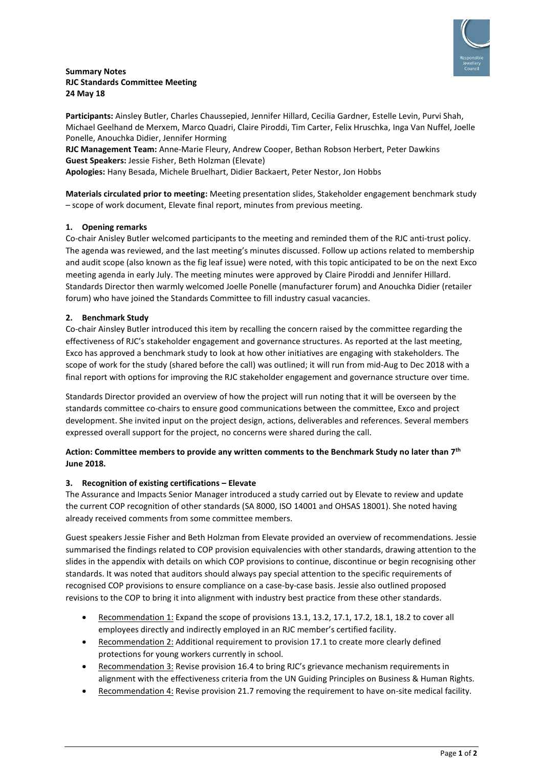

### **Summary Notes RJC Standards Committee Meeting 24 May 18**

**Participants:** Ainsley Butler, Charles Chaussepied, Jennifer Hillard, Cecilia Gardner, Estelle Levin, Purvi Shah, Michael Geelhand de Merxem, Marco Quadri, Claire Piroddi, Tim Carter, Felix Hruschka, Inga Van Nuffel, Joelle Ponelle, Anouchka Didier, Jennifer Horming

**RJC Management Team:** Anne-Marie Fleury, Andrew Cooper, Bethan Robson Herbert, Peter Dawkins **Guest Speakers:** Jessie Fisher, Beth Holzman (Elevate)

**Apologies:** Hany Besada, Michele Bruelhart, Didier Backaert, Peter Nestor, Jon Hobbs

**Materials circulated prior to meeting:** Meeting presentation slides, Stakeholder engagement benchmark study – scope of work document, Elevate final report, minutes from previous meeting.

# **1. Opening remarks**

Co-chair Anisley Butler welcomed participants to the meeting and reminded them of the RJC anti-trust policy. The agenda was reviewed, and the last meeting's minutes discussed. Follow up actions related to membership and audit scope (also known as the fig leaf issue) were noted, with this topic anticipated to be on the next Exco meeting agenda in early July. The meeting minutes were approved by Claire Piroddi and Jennifer Hillard. Standards Director then warmly welcomed Joelle Ponelle (manufacturer forum) and Anouchka Didier (retailer forum) who have joined the Standards Committee to fill industry casual vacancies.

### **2. Benchmark Study**

Co-chair Ainsley Butler introduced this item by recalling the concern raised by the committee regarding the effectiveness of RJC's stakeholder engagement and governance structures. As reported at the last meeting, Exco has approved a benchmark study to look at how other initiatives are engaging with stakeholders. The scope of work for the study (shared before the call) was outlined; it will run from mid-Aug to Dec 2018 with a final report with options for improving the RJC stakeholder engagement and governance structure over time.

Standards Director provided an overview of how the project will run noting that it will be overseen by the standards committee co-chairs to ensure good communications between the committee, Exco and project development. She invited input on the project design, actions, deliverables and references. Several members expressed overall support for the project, no concerns were shared during the call.

# **Action: Committee members to provide any written comments to the Benchmark Study no later than 7th June 2018.**

#### **3. Recognition of existing certifications – Elevate**

The Assurance and Impacts Senior Manager introduced a study carried out by Elevate to review and update the current COP recognition of other standards (SA 8000, ISO 14001 and OHSAS 18001). She noted having already received comments from some committee members.

Guest speakers Jessie Fisher and Beth Holzman from Elevate provided an overview of recommendations. Jessie summarised the findings related to COP provision equivalencies with other standards, drawing attention to the slides in the appendix with details on which COP provisions to continue, discontinue or begin recognising other standards. It was noted that auditors should always pay special attention to the specific requirements of recognised COP provisions to ensure compliance on a case-by-case basis. Jessie also outlined proposed revisions to the COP to bring it into alignment with industry best practice from these other standards.

- Recommendation 1: Expand the scope of provisions 13.1, 13.2, 17.1, 17.2, 18.1, 18.2 to cover all employees directly and indirectly employed in an RJC member's certified facility.
- Recommendation 2: Additional requirement to provision 17.1 to create more clearly defined protections for young workers currently in school.
- Recommendation 3: Revise provision 16.4 to bring RJC's grievance mechanism requirements in alignment with the effectiveness criteria from the UN Guiding Principles on Business & Human Rights.
- Recommendation 4: Revise provision 21.7 removing the requirement to have on-site medical facility.